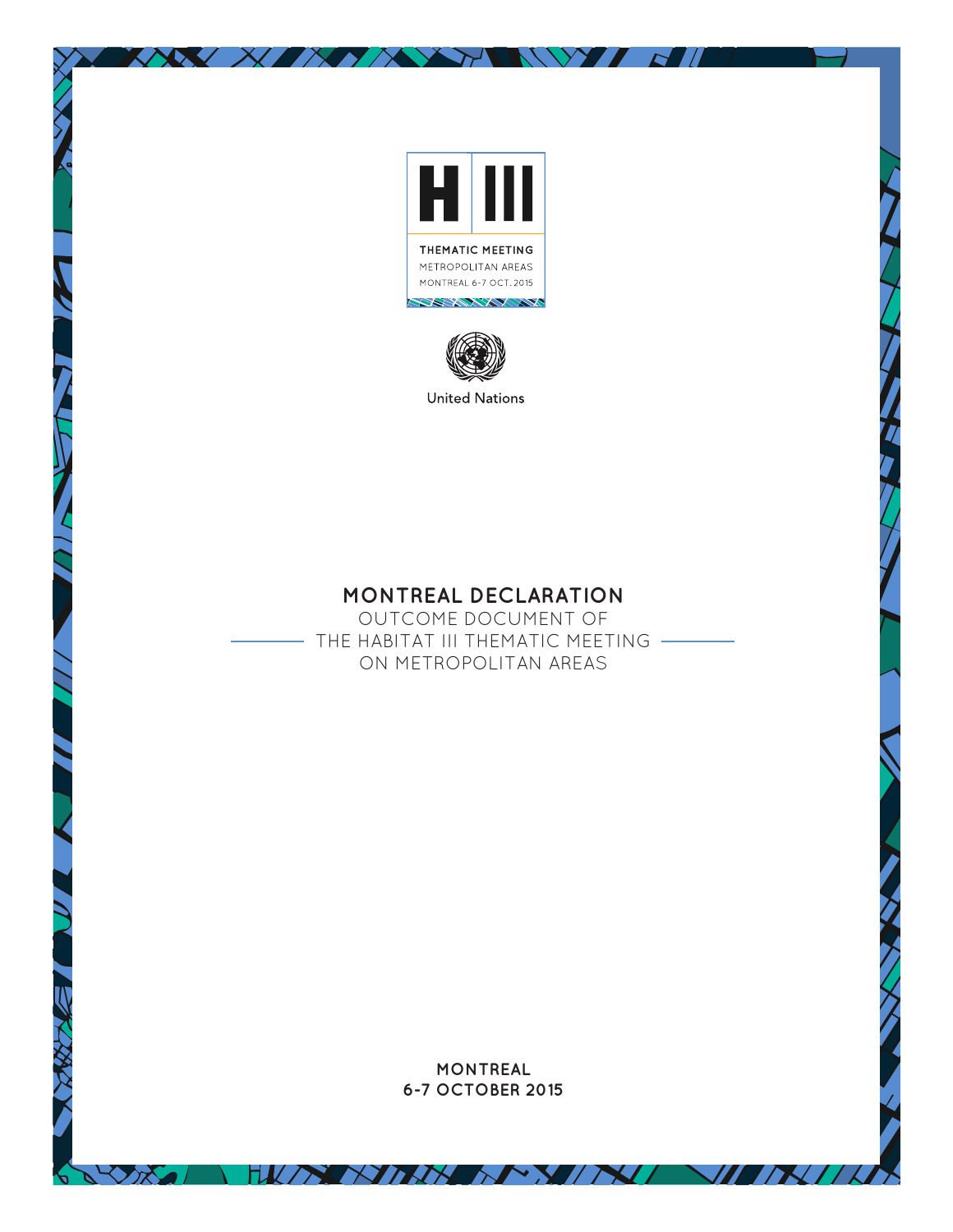

**WEBST** 

NYY N

XXXXIXXXXX



**United Nations** 

# **MONTREAL DECLARATION**

OUTCOME DOCUMENT OF - THE HABITAT III THEMATIC MEETING -ON METROPOLITAN AREAS

> **MONTREAL 6-7 OCTOBER 2015**

FILON NAME NO ME NO NO

 $\sqrt{N}/k$ 

 $\sqrt{X}$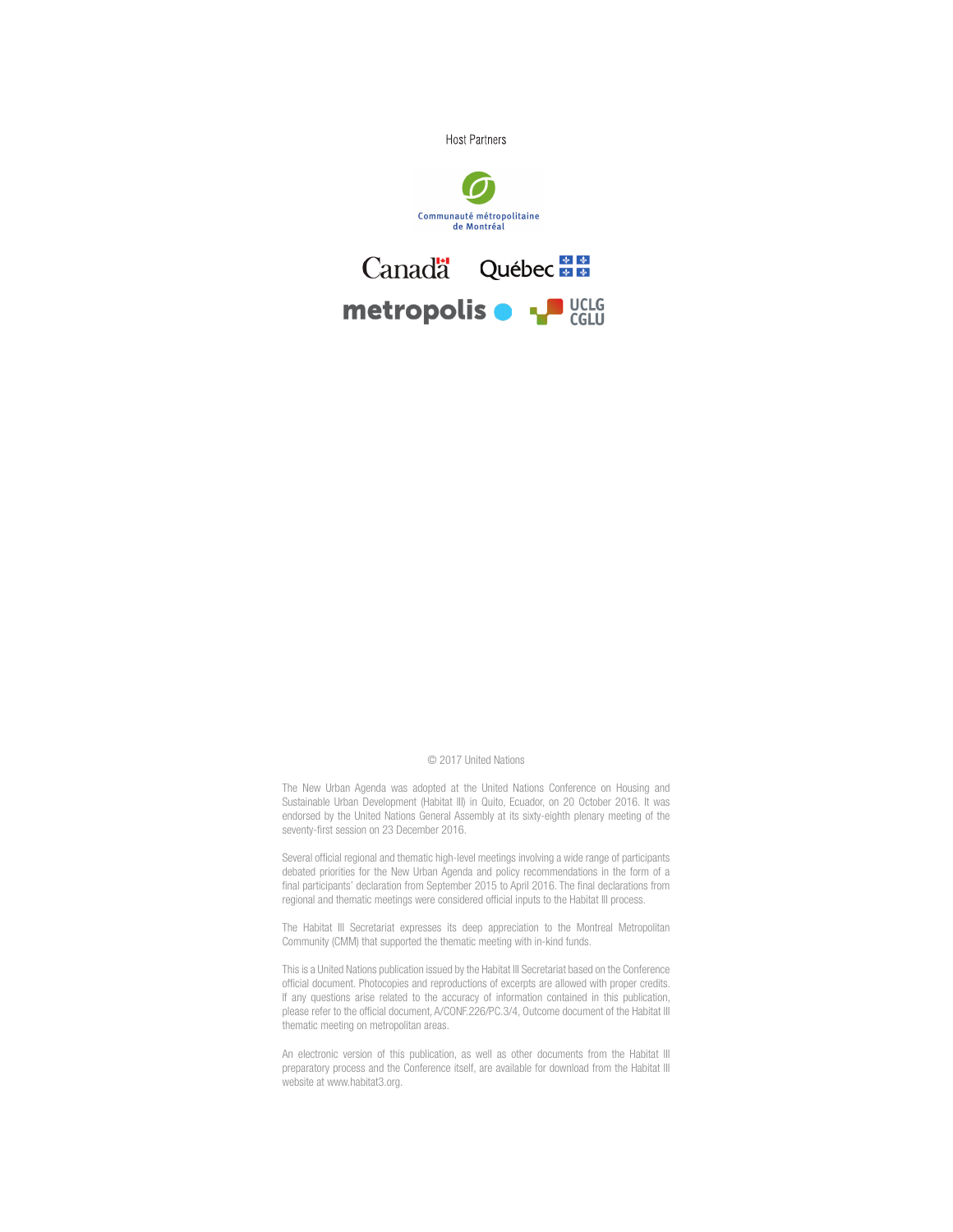

#### © 2017 United Nations

The New Urban Agenda was adopted at the United Nations Conference on Housing and Sustainable Urban Development (Habitat III) in Quito, Ecuador, on 20 October 2016. It was endorsed by the United Nations General Assembly at its sixty-eighth plenary meeting of the seventy-first session on 23 December 2016.

Several official regional and thematic high-level meetings involving a wide range of participants debated priorities for the New Urban Agenda and policy recommendations in the form of a final participants' declaration from September 2015 to April 2016. The final declarations from regional and thematic meetings were considered official inputs to the Habitat III process.

The Habitat III Secretariat expresses its deep appreciation to the Montreal Metropolitan Community (CMM) that supported the thematic meeting with in-kind funds.

This is a United Nations publication issued by the Habitat III Secretariat based on the Conference official document. Photocopies and reproductions of excerpts are allowed with proper credits. If any questions arise related to the accuracy of information contained in this publication, please refer to the official document, A/CONF.226/PC.3/4, Outcome document of the Habitat III thematic meeting on metropolitan areas.

An electronic version of this publication, as well as other documents from the Habitat III preparatory process and the Conference itself, are available for download from the Habitat III website at www.habitat3.org.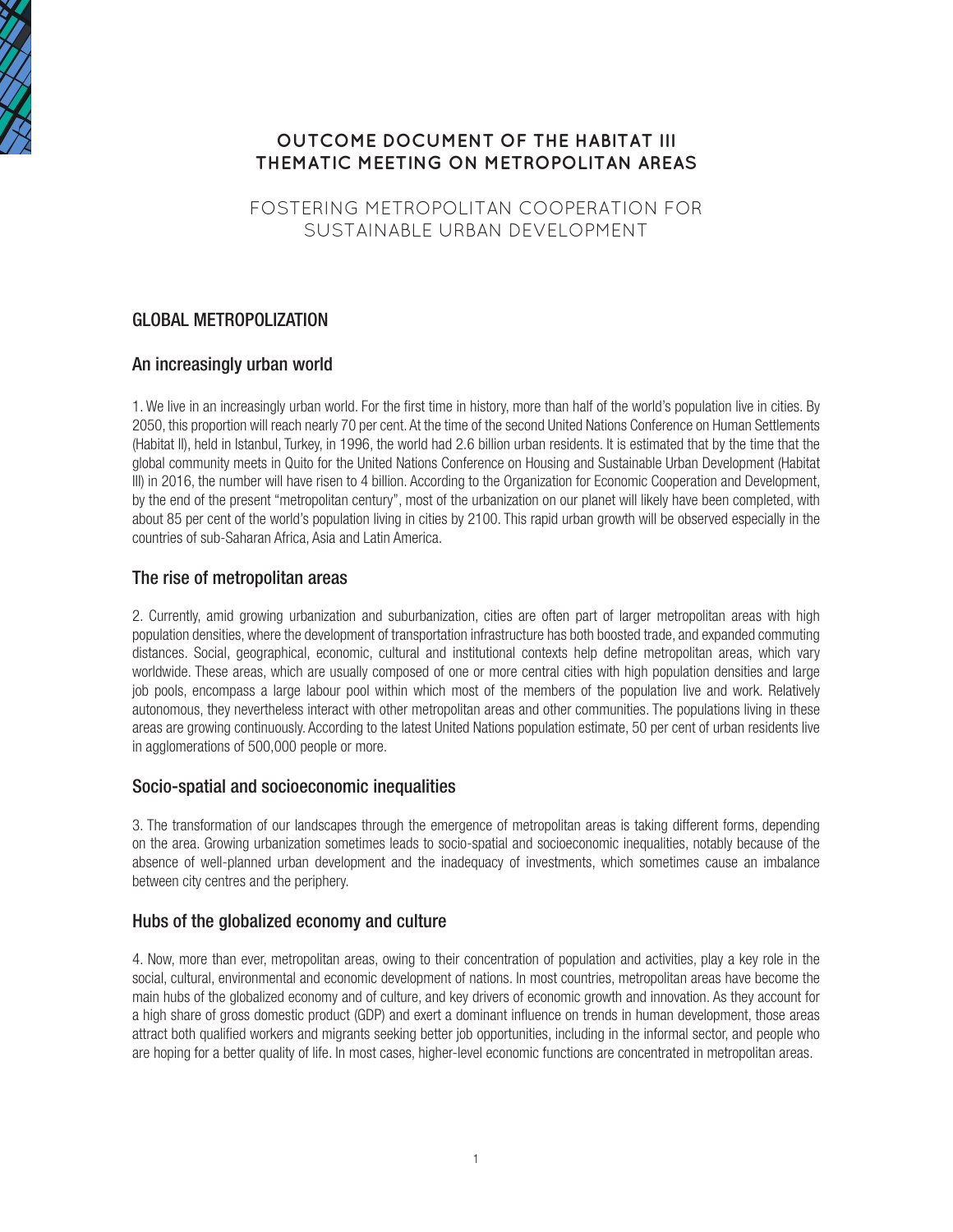

## **OUTCOME DOCUMENT OF THE HABITAT III THEMATIC MEETING ON METROPOLITAN AREAS**

FOSTERING METROPOLITAN COOPERATION FOR SUSTAINABLE URBAN DEVELOPMENT

## GLOBAL METROPOLIZATION

### An increasingly urban world

1. We live in an increasingly urban world. For the first time in history, more than half of the world's population live in cities. By 2050, this proportion will reach nearly 70 per cent. At the time of the second United Nations Conference on Human Settlements (Habitat II), held in Istanbul, Turkey, in 1996, the world had 2.6 billion urban residents. It is estimated that by the time that the global community meets in Quito for the United Nations Conference on Housing and Sustainable Urban Development (Habitat III) in 2016, the number will have risen to 4 billion. According to the Organization for Economic Cooperation and Development, by the end of the present "metropolitan century", most of the urbanization on our planet will likely have been completed, with about 85 per cent of the world's population living in cities by 2100. This rapid urban growth will be observed especially in the countries of sub-Saharan Africa, Asia and Latin America.

### The rise of metropolitan areas

2. Currently, amid growing urbanization and suburbanization, cities are often part of larger metropolitan areas with high population densities, where the development of transportation infrastructure has both boosted trade, and expanded commuting distances. Social, geographical, economic, cultural and institutional contexts help define metropolitan areas, which vary worldwide. These areas, which are usually composed of one or more central cities with high population densities and large job pools, encompass a large labour pool within which most of the members of the population live and work. Relatively autonomous, they nevertheless interact with other metropolitan areas and other communities. The populations living in these areas are growing continuously. According to the latest United Nations population estimate, 50 per cent of urban residents live in agglomerations of 500,000 people or more.

### Socio-spatial and socioeconomic inequalities

3. The transformation of our landscapes through the emergence of metropolitan areas is taking different forms, depending on the area. Growing urbanization sometimes leads to socio-spatial and socioeconomic inequalities, notably because of the absence of well-planned urban development and the inadequacy of investments, which sometimes cause an imbalance between city centres and the periphery.

### Hubs of the globalized economy and culture

4. Now, more than ever, metropolitan areas, owing to their concentration of population and activities, play a key role in the social, cultural, environmental and economic development of nations. In most countries, metropolitan areas have become the main hubs of the globalized economy and of culture, and key drivers of economic growth and innovation. As they account for a high share of gross domestic product (GDP) and exert a dominant influence on trends in human development, those areas attract both qualified workers and migrants seeking better job opportunities, including in the informal sector, and people who are hoping for a better quality of life. In most cases, higher-level economic functions are concentrated in metropolitan areas.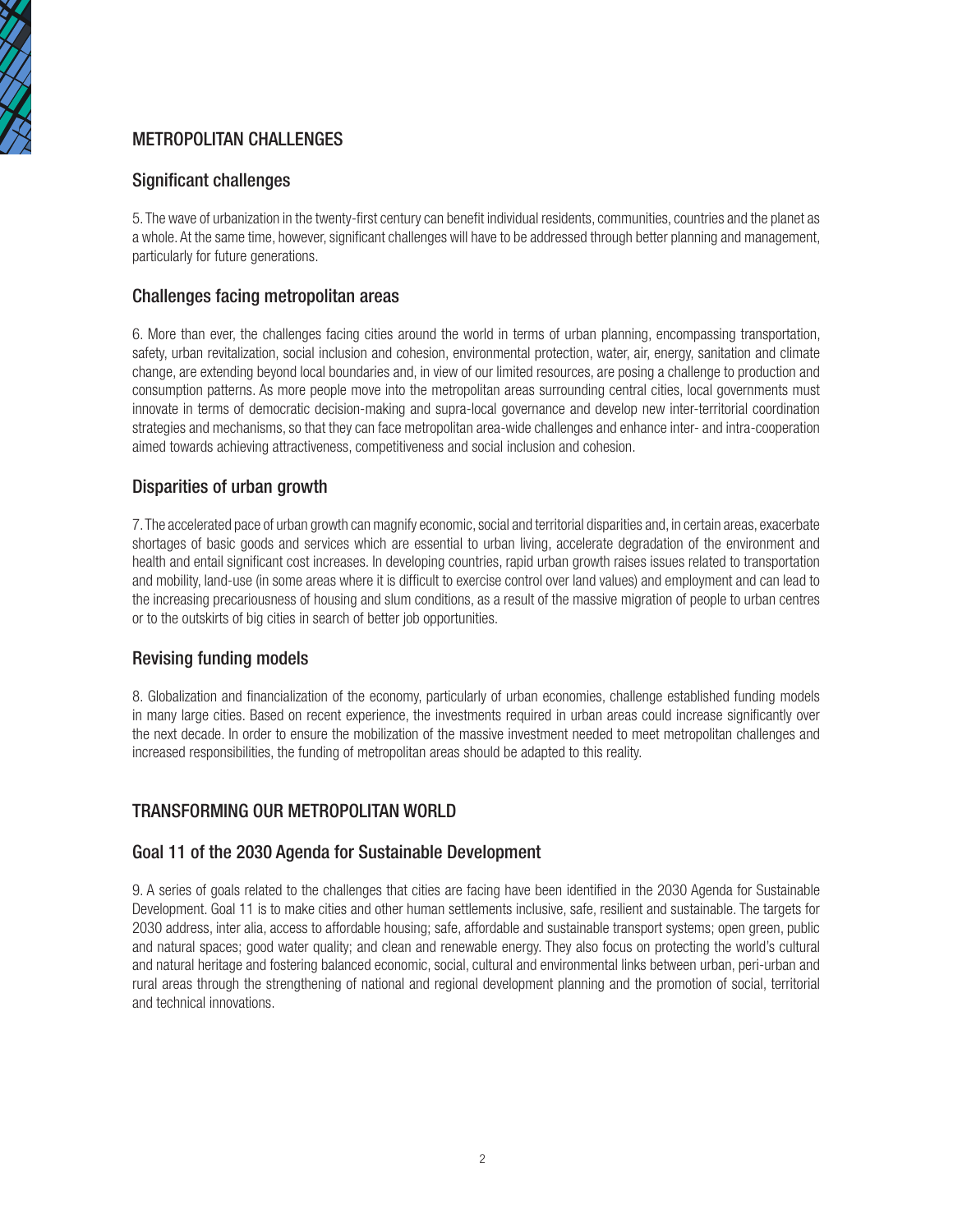

## METROPOLITAN CHALLENGES

### Significant challenges

5. The wave of urbanization in the twenty-first century can benefit individual residents, communities, countries and the planet as a whole. At the same time, however, significant challenges will have to be addressed through better planning and management, particularly for future generations.

### Challenges facing metropolitan areas

6. More than ever, the challenges facing cities around the world in terms of urban planning, encompassing transportation, safety, urban revitalization, social inclusion and cohesion, environmental protection, water, air, energy, sanitation and climate change, are extending beyond local boundaries and, in view of our limited resources, are posing a challenge to production and consumption patterns. As more people move into the metropolitan areas surrounding central cities, local governments must innovate in terms of democratic decision-making and supra-local governance and develop new inter-territorial coordination strategies and mechanisms, so that they can face metropolitan area-wide challenges and enhance inter- and intra-cooperation aimed towards achieving attractiveness, competitiveness and social inclusion and cohesion.

### Disparities of urban growth

7. The accelerated pace of urban growth can magnify economic, social and territorial disparities and, in certain areas, exacerbate shortages of basic goods and services which are essential to urban living, accelerate degradation of the environment and health and entail significant cost increases. In developing countries, rapid urban growth raises issues related to transportation and mobility, land-use (in some areas where it is difficult to exercise control over land values) and employment and can lead to the increasing precariousness of housing and slum conditions, as a result of the massive migration of people to urban centres or to the outskirts of big cities in search of better job opportunities.

### Revising funding models

8. Globalization and financialization of the economy, particularly of urban economies, challenge established funding models in many large cities. Based on recent experience, the investments required in urban areas could increase significantly over the next decade. In order to ensure the mobilization of the massive investment needed to meet metropolitan challenges and increased responsibilities, the funding of metropolitan areas should be adapted to this reality.

### TRANSFORMING OUR METROPOLITAN WORLD

### Goal 11 of the 2030 Agenda for Sustainable Development

9. A series of goals related to the challenges that cities are facing have been identified in the 2030 Agenda for Sustainable Development. Goal 11 is to make cities and other human settlements inclusive, safe, resilient and sustainable. The targets for 2030 address, inter alia, access to affordable housing; safe, affordable and sustainable transport systems; open green, public and natural spaces; good water quality; and clean and renewable energy. They also focus on protecting the world's cultural and natural heritage and fostering balanced economic, social, cultural and environmental links between urban, peri-urban and rural areas through the strengthening of national and regional development planning and the promotion of social, territorial and technical innovations.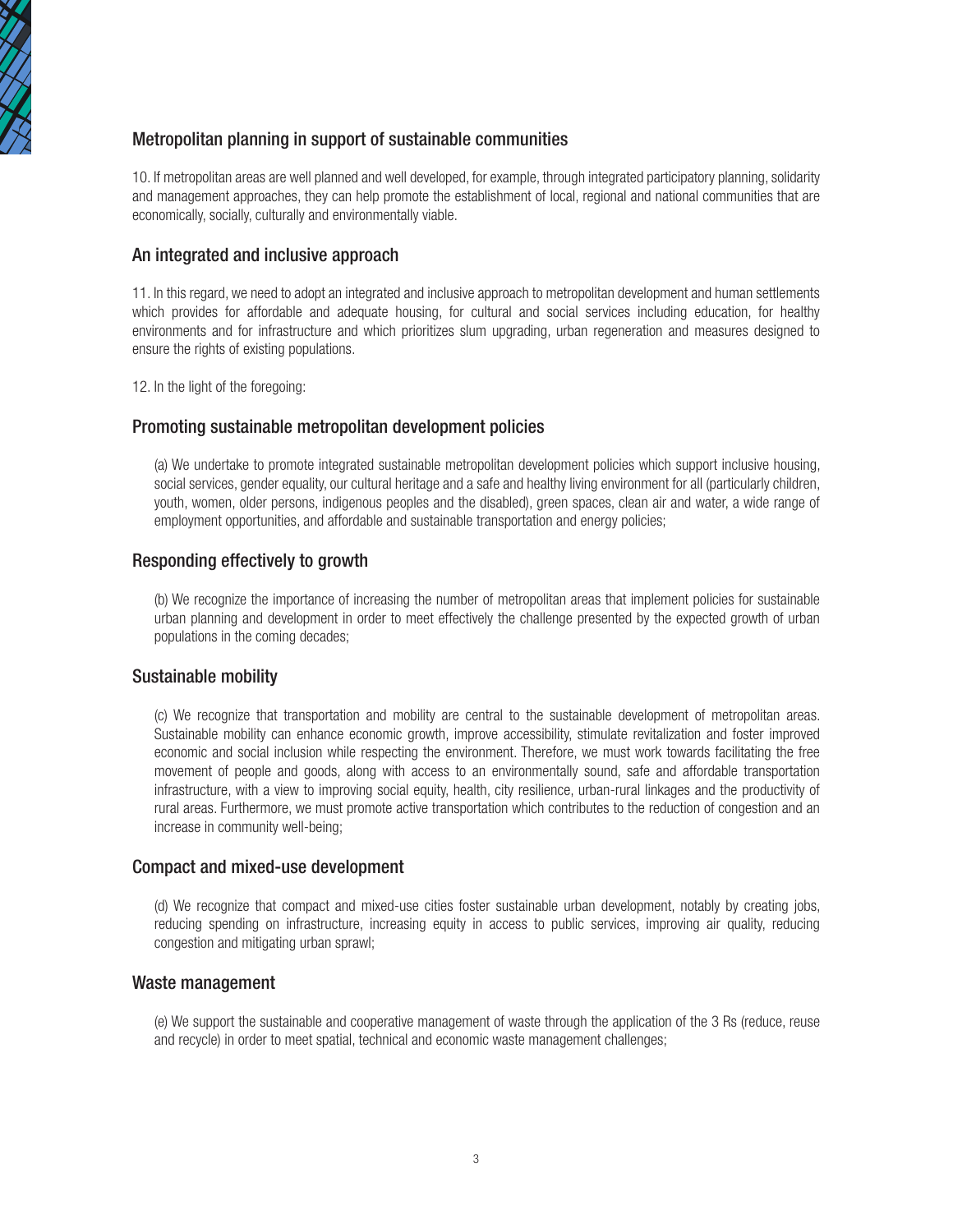

### Metropolitan planning in support of sustainable communities

10. If metropolitan areas are well planned and well developed, for example, through integrated participatory planning, solidarity and management approaches, they can help promote the establishment of local, regional and national communities that are economically, socially, culturally and environmentally viable.

#### An integrated and inclusive approach

11. In this regard, we need to adopt an integrated and inclusive approach to metropolitan development and human settlements which provides for affordable and adequate housing, for cultural and social services including education, for healthy environments and for infrastructure and which prioritizes slum upgrading, urban regeneration and measures designed to ensure the rights of existing populations.

12. In the light of the foregoing:

#### Promoting sustainable metropolitan development policies

(a) We undertake to promote integrated sustainable metropolitan development policies which support inclusive housing, social services, gender equality, our cultural heritage and a safe and healthy living environment for all (particularly children, youth, women, older persons, indigenous peoples and the disabled), green spaces, clean air and water, a wide range of employment opportunities, and affordable and sustainable transportation and energy policies;

#### Responding effectively to growth

(b) We recognize the importance of increasing the number of metropolitan areas that implement policies for sustainable urban planning and development in order to meet effectively the challenge presented by the expected growth of urban populations in the coming decades;

#### Sustainable mobility

(c) We recognize that transportation and mobility are central to the sustainable development of metropolitan areas. Sustainable mobility can enhance economic growth, improve accessibility, stimulate revitalization and foster improved economic and social inclusion while respecting the environment. Therefore, we must work towards facilitating the free movement of people and goods, along with access to an environmentally sound, safe and affordable transportation infrastructure, with a view to improving social equity, health, city resilience, urban-rural linkages and the productivity of rural areas. Furthermore, we must promote active transportation which contributes to the reduction of congestion and an increase in community well-being;

#### Compact and mixed-use development

(d) We recognize that compact and mixed-use cities foster sustainable urban development, notably by creating jobs, reducing spending on infrastructure, increasing equity in access to public services, improving air quality, reducing congestion and mitigating urban sprawl;

#### Waste management

(e) We support the sustainable and cooperative management of waste through the application of the 3 Rs (reduce, reuse and recycle) in order to meet spatial, technical and economic waste management challenges;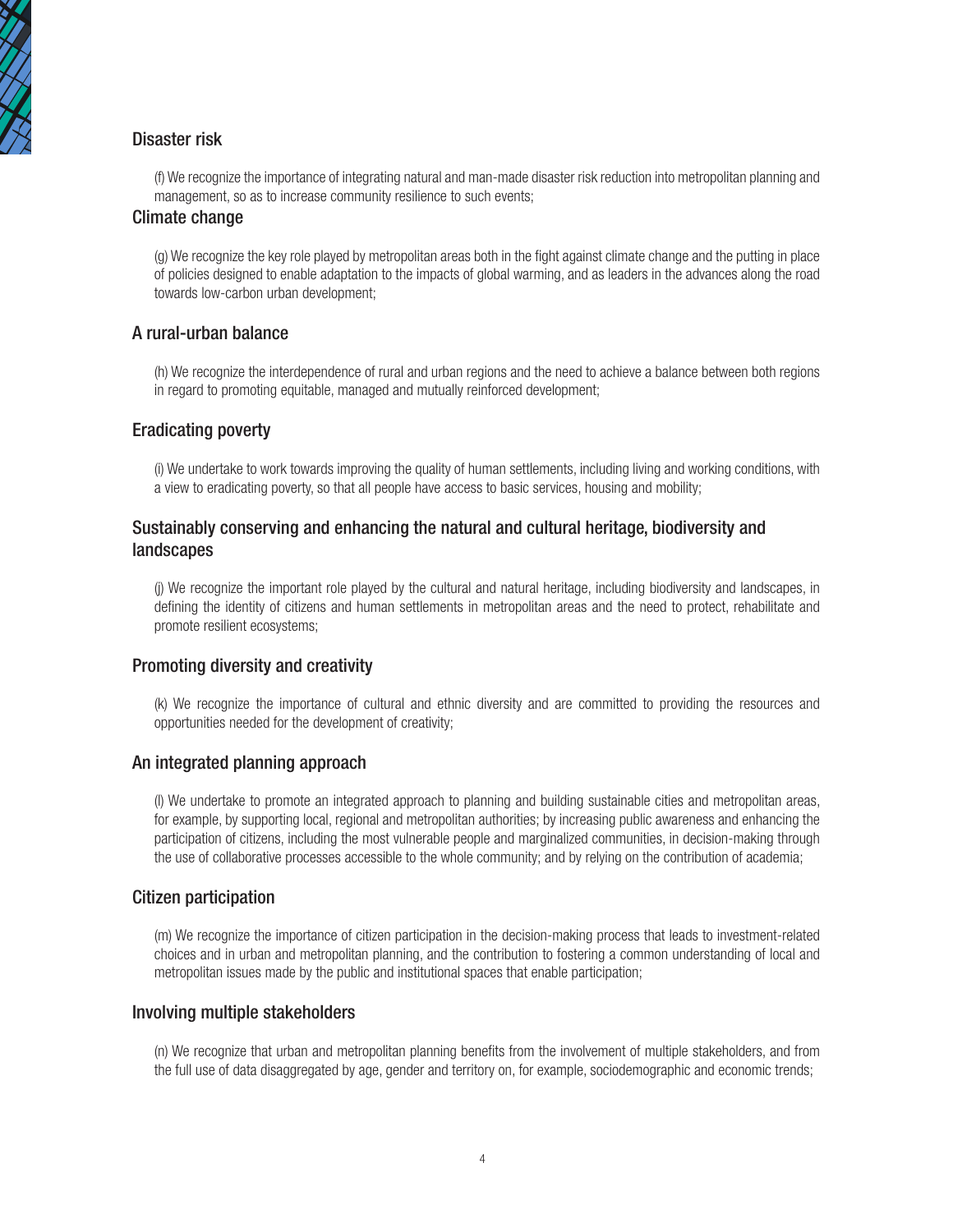

## Disaster risk

(f) We recognize the importance of integrating natural and man-made disaster risk reduction into metropolitan planning and management, so as to increase community resilience to such events;

### Climate change

(g) We recognize the key role played by metropolitan areas both in the fight against climate change and the putting in place of policies designed to enable adaptation to the impacts of global warming, and as leaders in the advances along the road towards low-carbon urban development;

### A rural-urban balance

(h) We recognize the interdependence of rural and urban regions and the need to achieve a balance between both regions in regard to promoting equitable, managed and mutually reinforced development;

### Eradicating poverty

(i) We undertake to work towards improving the quality of human settlements, including living and working conditions, with a view to eradicating poverty, so that all people have access to basic services, housing and mobility;

### Sustainably conserving and enhancing the natural and cultural heritage, biodiversity and landscapes

(j) We recognize the important role played by the cultural and natural heritage, including biodiversity and landscapes, in defining the identity of citizens and human settlements in metropolitan areas and the need to protect, rehabilitate and promote resilient ecosystems;

### Promoting diversity and creativity

(k) We recognize the importance of cultural and ethnic diversity and are committed to providing the resources and opportunities needed for the development of creativity;

### An integrated planning approach

(l) We undertake to promote an integrated approach to planning and building sustainable cities and metropolitan areas, for example, by supporting local, regional and metropolitan authorities; by increasing public awareness and enhancing the participation of citizens, including the most vulnerable people and marginalized communities, in decision-making through the use of collaborative processes accessible to the whole community; and by relying on the contribution of academia;

### Citizen participation

(m) We recognize the importance of citizen participation in the decision-making process that leads to investment-related choices and in urban and metropolitan planning, and the contribution to fostering a common understanding of local and metropolitan issues made by the public and institutional spaces that enable participation;

#### Involving multiple stakeholders

(n) We recognize that urban and metropolitan planning benefits from the involvement of multiple stakeholders, and from the full use of data disaggregated by age, gender and territory on, for example, sociodemographic and economic trends;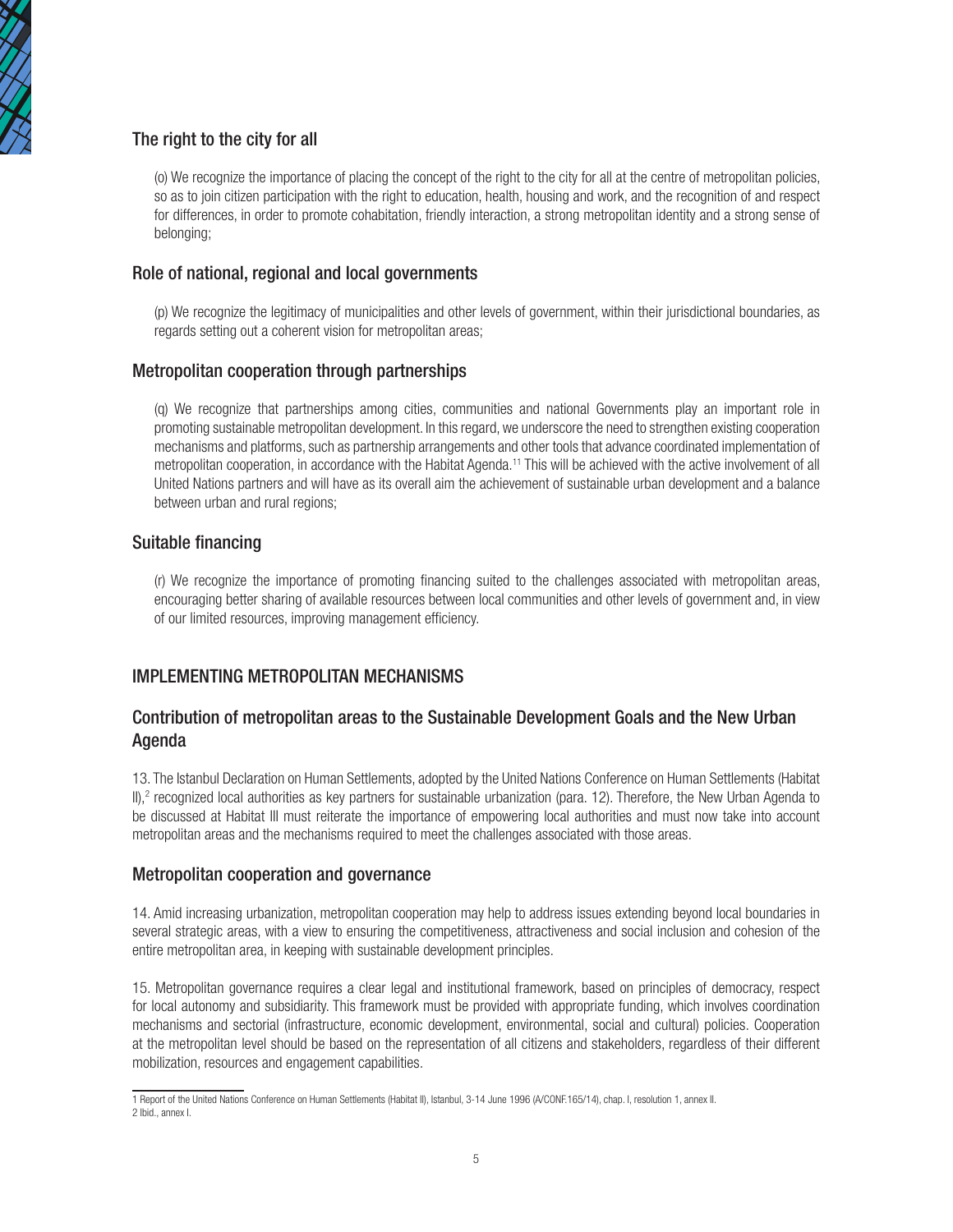

## The right to the city for all

(o) We recognize the importance of placing the concept of the right to the city for all at the centre of metropolitan policies, so as to join citizen participation with the right to education, health, housing and work, and the recognition of and respect for differences, in order to promote cohabitation, friendly interaction, a strong metropolitan identity and a strong sense of belonging;

### Role of national, regional and local governments

(p) We recognize the legitimacy of municipalities and other levels of government, within their jurisdictional boundaries, as regards setting out a coherent vision for metropolitan areas;

### Metropolitan cooperation through partnerships

(q) We recognize that partnerships among cities, communities and national Governments play an important role in promoting sustainable metropolitan development. In this regard, we underscore the need to strengthen existing cooperation mechanisms and platforms, such as partnership arrangements and other tools that advance coordinated implementation of metropolitan cooperation, in accordance with the Habitat Agenda.<sup>11</sup> This will be achieved with the active involvement of all United Nations partners and will have as its overall aim the achievement of sustainable urban development and a balance between urban and rural regions:

### Suitable financing

(r) We recognize the importance of promoting financing suited to the challenges associated with metropolitan areas, encouraging better sharing of available resources between local communities and other levels of government and, in view of our limited resources, improving management efficiency.

### IMPLEMENTING METROPOLITAN MECHANISMS

### Contribution of metropolitan areas to the Sustainable Development Goals and the New Urban Agenda

13. The Istanbul Declaration on Human Settlements, adopted by the United Nations Conference on Human Settlements (Habitat II),<sup>2</sup> recognized local authorities as key partners for sustainable urbanization (para. 12). Therefore, the New Urban Agenda to be discussed at Habitat III must reiterate the importance of empowering local authorities and must now take into account metropolitan areas and the mechanisms required to meet the challenges associated with those areas.

### Metropolitan cooperation and governance

14. Amid increasing urbanization, metropolitan cooperation may help to address issues extending beyond local boundaries in several strategic areas, with a view to ensuring the competitiveness, attractiveness and social inclusion and cohesion of the entire metropolitan area, in keeping with sustainable development principles.

15. Metropolitan governance requires a clear legal and institutional framework, based on principles of democracy, respect for local autonomy and subsidiarity. This framework must be provided with appropriate funding, which involves coordination mechanisms and sectorial (infrastructure, economic development, environmental, social and cultural) policies. Cooperation at the metropolitan level should be based on the representation of all citizens and stakeholders, regardless of their different mobilization, resources and engagement capabilities.

<sup>1</sup> Report of the United Nations Conference on Human Settlements (Habitat II), Istanbul, 3-14 June 1996 (A/CONF.165/14), chap. I, resolution 1, annex II. 2 Ibid., annex I.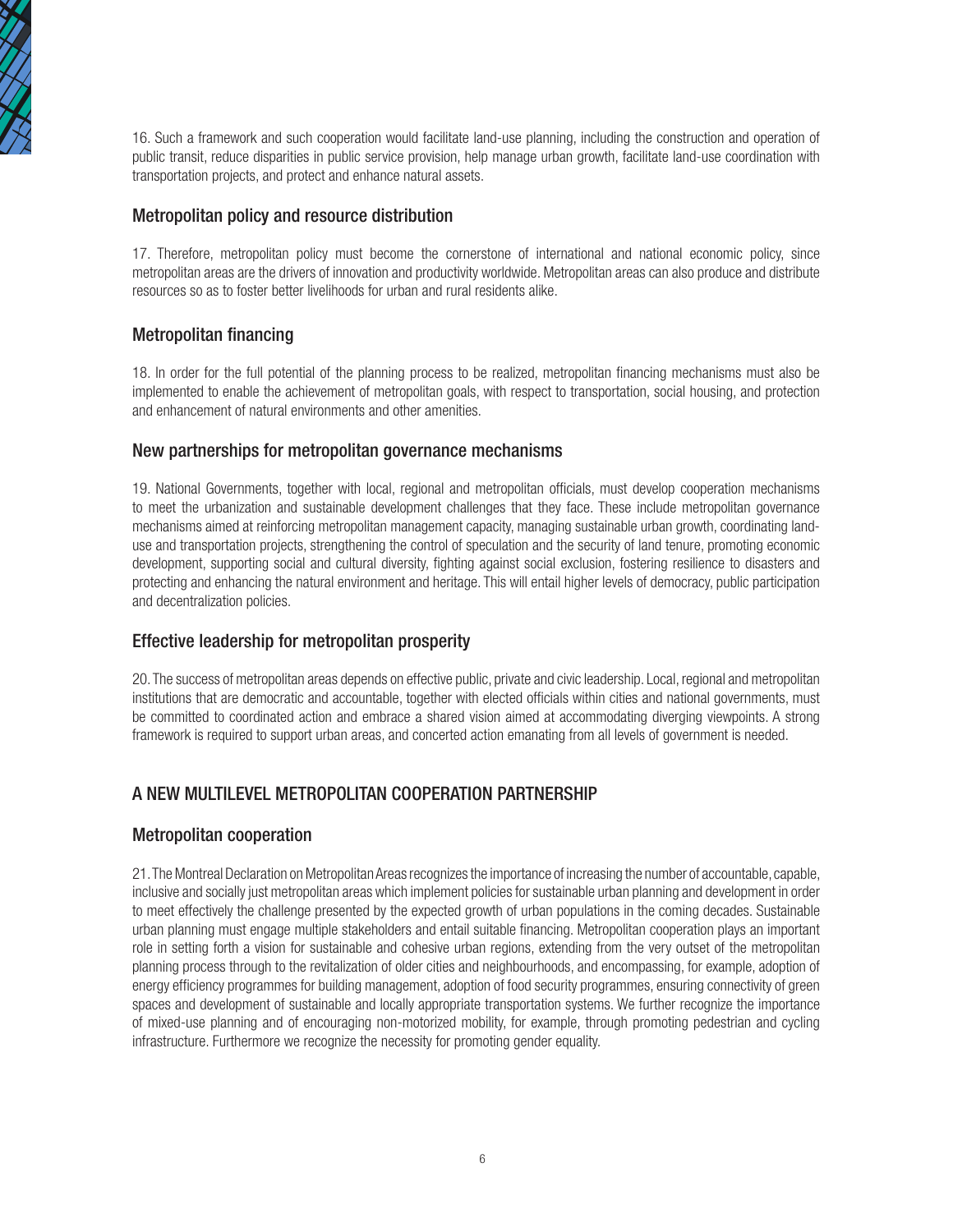

16. Such a framework and such cooperation would facilitate land-use planning, including the construction and operation of public transit, reduce disparities in public service provision, help manage urban growth, facilitate land-use coordination with transportation projects, and protect and enhance natural assets.

### Metropolitan policy and resource distribution

17. Therefore, metropolitan policy must become the cornerstone of international and national economic policy, since metropolitan areas are the drivers of innovation and productivity worldwide. Metropolitan areas can also produce and distribute resources so as to foster better livelihoods for urban and rural residents alike.

### Metropolitan financing

18. In order for the full potential of the planning process to be realized, metropolitan financing mechanisms must also be implemented to enable the achievement of metropolitan goals, with respect to transportation, social housing, and protection and enhancement of natural environments and other amenities.

### New partnerships for metropolitan governance mechanisms

19. National Governments, together with local, regional and metropolitan officials, must develop cooperation mechanisms to meet the urbanization and sustainable development challenges that they face. These include metropolitan governance mechanisms aimed at reinforcing metropolitan management capacity, managing sustainable urban growth, coordinating landuse and transportation projects, strengthening the control of speculation and the security of land tenure, promoting economic development, supporting social and cultural diversity, fighting against social exclusion, fostering resilience to disasters and protecting and enhancing the natural environment and heritage. This will entail higher levels of democracy, public participation and decentralization policies.

### Effective leadership for metropolitan prosperity

20. The success of metropolitan areas depends on effective public, private and civic leadership. Local, regional and metropolitan institutions that are democratic and accountable, together with elected officials within cities and national governments, must be committed to coordinated action and embrace a shared vision aimed at accommodating diverging viewpoints. A strong framework is required to support urban areas, and concerted action emanating from all levels of government is needed.

## A NEW MULTILEVEL METROPOLITAN COOPERATION PARTNERSHIP

### Metropolitan cooperation

21. The Montreal Declaration on Metropolitan Areas recognizes the importance of increasing the number of accountable, capable, inclusive and socially just metropolitan areas which implement policies for sustainable urban planning and development in order to meet effectively the challenge presented by the expected growth of urban populations in the coming decades. Sustainable urban planning must engage multiple stakeholders and entail suitable financing. Metropolitan cooperation plays an important role in setting forth a vision for sustainable and cohesive urban regions, extending from the very outset of the metropolitan planning process through to the revitalization of older cities and neighbourhoods, and encompassing, for example, adoption of energy efficiency programmes for building management, adoption of food security programmes, ensuring connectivity of green spaces and development of sustainable and locally appropriate transportation systems. We further recognize the importance of mixed-use planning and of encouraging non-motorized mobility, for example, through promoting pedestrian and cycling infrastructure. Furthermore we recognize the necessity for promoting gender equality.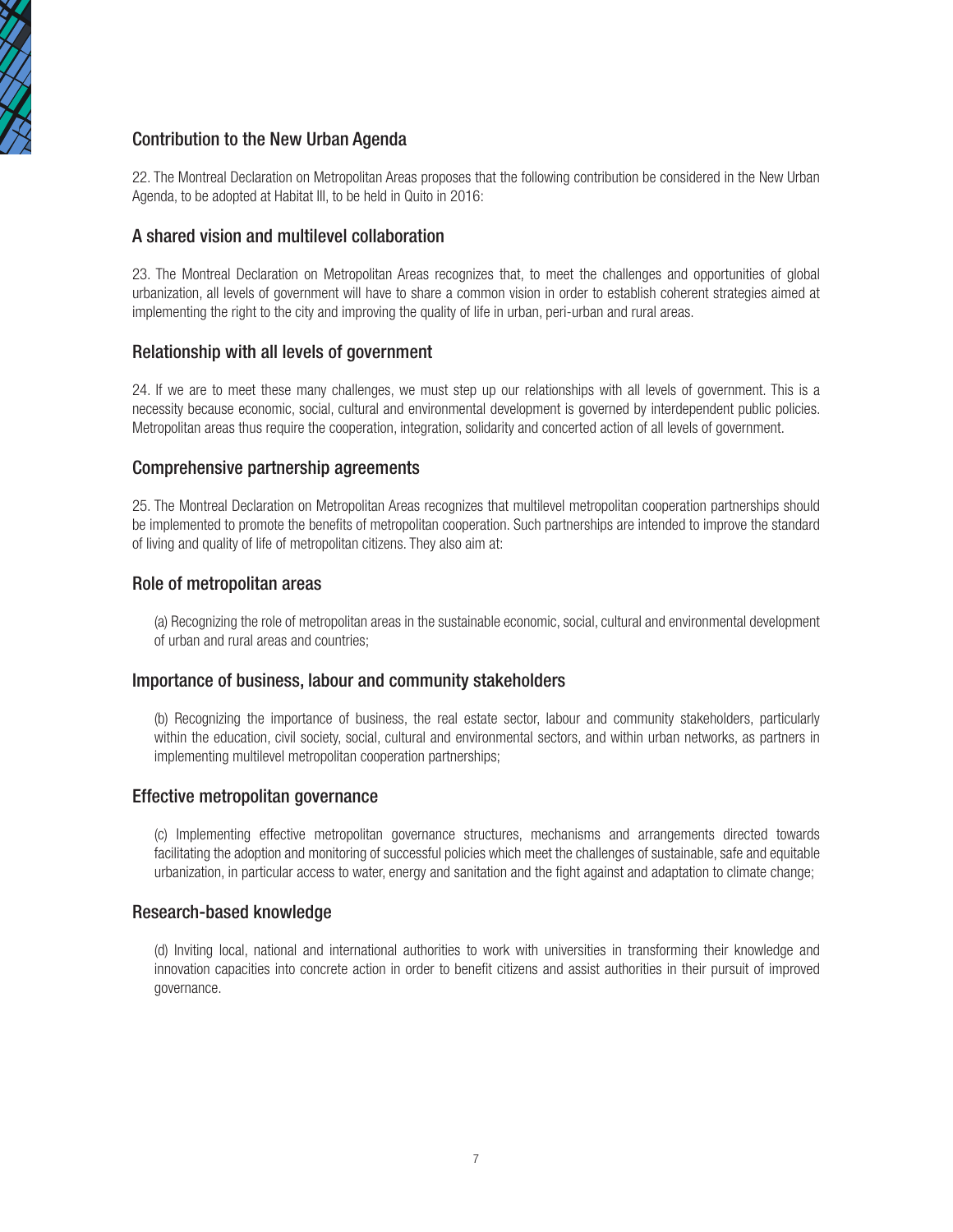

## Contribution to the New Urban Agenda

22. The Montreal Declaration on Metropolitan Areas proposes that the following contribution be considered in the New Urban Agenda, to be adopted at Habitat III, to be held in Quito in 2016:

### A shared vision and multilevel collaboration

23. The Montreal Declaration on Metropolitan Areas recognizes that, to meet the challenges and opportunities of global urbanization, all levels of government will have to share a common vision in order to establish coherent strategies aimed at implementing the right to the city and improving the quality of life in urban, peri-urban and rural areas.

### Relationship with all levels of government

24. If we are to meet these many challenges, we must step up our relationships with all levels of government. This is a necessity because economic, social, cultural and environmental development is governed by interdependent public policies. Metropolitan areas thus require the cooperation, integration, solidarity and concerted action of all levels of government.

#### Comprehensive partnership agreements

25. The Montreal Declaration on Metropolitan Areas recognizes that multilevel metropolitan cooperation partnerships should be implemented to promote the benefits of metropolitan cooperation. Such partnerships are intended to improve the standard of living and quality of life of metropolitan citizens. They also aim at:

#### Role of metropolitan areas

(a) Recognizing the role of metropolitan areas in the sustainable economic, social, cultural and environmental development of urban and rural areas and countries;

#### Importance of business, labour and community stakeholders

(b) Recognizing the importance of business, the real estate sector, labour and community stakeholders, particularly within the education, civil society, social, cultural and environmental sectors, and within urban networks, as partners in implementing multilevel metropolitan cooperation partnerships;

#### Effective metropolitan governance

(c) Implementing effective metropolitan governance structures, mechanisms and arrangements directed towards facilitating the adoption and monitoring of successful policies which meet the challenges of sustainable, safe and equitable urbanization, in particular access to water, energy and sanitation and the fight against and adaptation to climate change;

#### Research-based knowledge

(d) Inviting local, national and international authorities to work with universities in transforming their knowledge and innovation capacities into concrete action in order to benefit citizens and assist authorities in their pursuit of improved governance.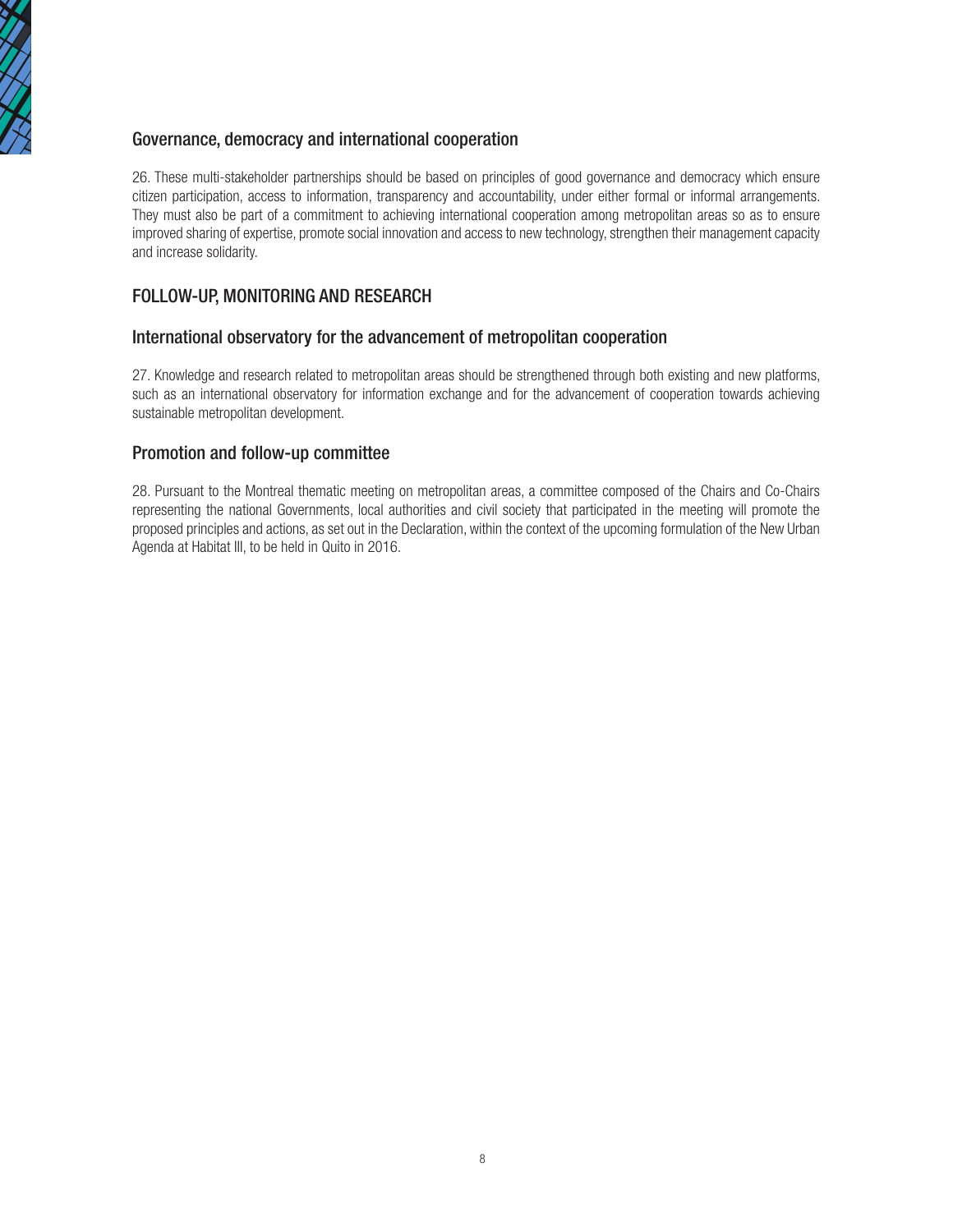

## Governance, democracy and international cooperation

26. These multi-stakeholder partnerships should be based on principles of good governance and democracy which ensure citizen participation, access to information, transparency and accountability, under either formal or informal arrangements. They must also be part of a commitment to achieving international cooperation among metropolitan areas so as to ensure improved sharing of expertise, promote social innovation and access to new technology, strengthen their management capacity and increase solidarity.

## FOLLOW-UP, MONITORING AND RESEARCH

### International observatory for the advancement of metropolitan cooperation

27. Knowledge and research related to metropolitan areas should be strengthened through both existing and new platforms, such as an international observatory for information exchange and for the advancement of cooperation towards achieving sustainable metropolitan development.

### Promotion and follow-up committee

28. Pursuant to the Montreal thematic meeting on metropolitan areas, a committee composed of the Chairs and Co-Chairs representing the national Governments, local authorities and civil society that participated in the meeting will promote the proposed principles and actions, as set out in the Declaration, within the context of the upcoming formulation of the New Urban Agenda at Habitat III, to be held in Quito in 2016.